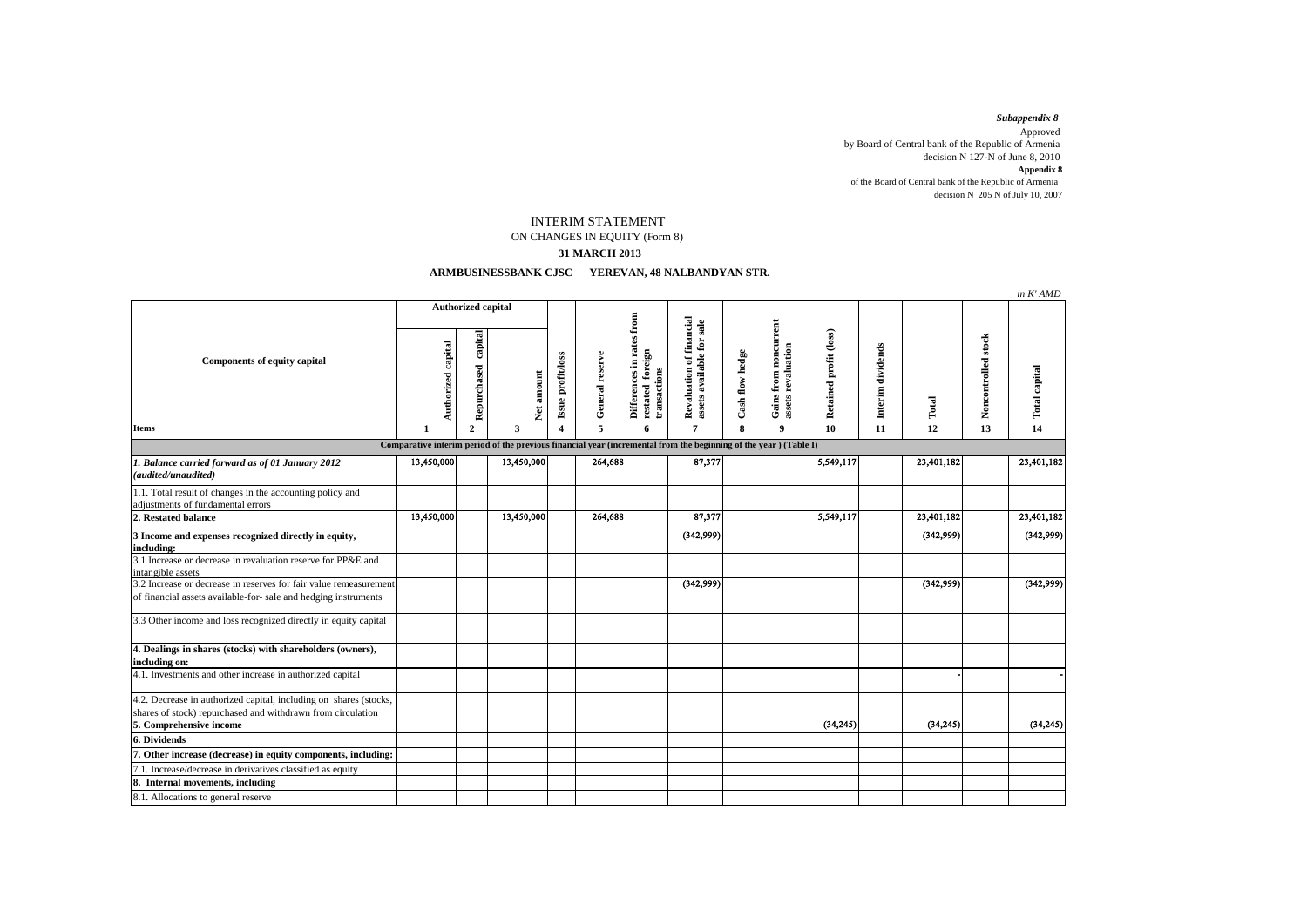decision N 205 N of July 10, 2007 *Subappendix 8*  Approved by Board of Central bank of the Republic of Armenia decision N 127-N of June 8, 2010 **Appendix 8** of the Board of Central bank of the Republic of Armenia

## INTERIM STATEMENT

ON CHANGES IN EQUITY (Form 8)

## **31 MARCH 2013**

## **ARMBUSINESSBANK CJSC YEREVAN, 48 NALBANDYAN STR.**

|                                                                                                                                      |                    |                        |            |                                 |                 |                                                                                  |                                                       |                 |                                             |                        |                   |            |                     | in K' AMD            |
|--------------------------------------------------------------------------------------------------------------------------------------|--------------------|------------------------|------------|---------------------------------|-----------------|----------------------------------------------------------------------------------|-------------------------------------------------------|-----------------|---------------------------------------------|------------------------|-------------------|------------|---------------------|----------------------|
| <b>Components of equity capital</b>                                                                                                  | Authorized capital |                        |            |                                 |                 |                                                                                  |                                                       |                 |                                             |                        |                   |            |                     |                      |
|                                                                                                                                      | Authorized capital | capital<br>Repurchased |            | Issue profit/loss<br>Vet amount | General reserve | Differences in rates from<br>restated foreign<br>transactions<br>$\bf{restated}$ | Revaluation of financial<br>assets available for sale | Cash flow hedge | Gains from noncurrent<br>assets revaluation | Retained profit (loss) | Interim dividends | Total      | Noncontrolled stock | <b>Total capital</b> |
| <b>Items</b>                                                                                                                         | $\mathbf{1}$       | $\mathbf{2}$           | 3          | $\overline{\mathbf{4}}$         | 5               | 6                                                                                | $\overline{7}$                                        | 8               | $\mathbf{9}$                                | 10                     | 11                | 12         | 13                  | 14                   |
| Comparative interim period of the previous financial year (incremental from the beginning of the year) (Table I)                     |                    |                        |            |                                 |                 |                                                                                  |                                                       |                 |                                             |                        |                   |            |                     |                      |
| 1. Balance carried forward as of 01 January 2012<br>(audited/unaudited)                                                              | 13,450,000         |                        | 13,450,000 |                                 | 264,688         |                                                                                  | 87,377                                                |                 |                                             | 5,549,117              |                   | 23,401,182 |                     | 23,401,182           |
| 1.1. Total result of changes in the accounting policy and<br>adjustments of fundamental errors                                       |                    |                        |            |                                 |                 |                                                                                  |                                                       |                 |                                             |                        |                   |            |                     |                      |
| 2. Restated balance                                                                                                                  | 13,450,000         |                        | 13,450,000 |                                 | 264,688         |                                                                                  | 87,377                                                |                 |                                             | 5,549,117              |                   | 23,401,182 |                     | 23,401,182           |
| 3 Income and expenses recognized directly in equity,<br>including:                                                                   |                    |                        |            |                                 |                 |                                                                                  | (342,999)                                             |                 |                                             |                        |                   | (342,999)  |                     | (342,999)            |
| 3.1 Increase or decrease in revaluation reserve for PP&E and<br>intangible assets                                                    |                    |                        |            |                                 |                 |                                                                                  |                                                       |                 |                                             |                        |                   |            |                     |                      |
| 3.2 Increase or decrease in reserves for fair value remeasurement<br>of financial assets available-for- sale and hedging instruments |                    |                        |            |                                 |                 |                                                                                  | (342,999)                                             |                 |                                             |                        |                   | (342,999)  |                     | (342,999)            |
| 3.3 Other income and loss recognized directly in equity capital                                                                      |                    |                        |            |                                 |                 |                                                                                  |                                                       |                 |                                             |                        |                   |            |                     |                      |
| 4. Dealings in shares (stocks) with shareholders (owners),<br>including on:                                                          |                    |                        |            |                                 |                 |                                                                                  |                                                       |                 |                                             |                        |                   |            |                     |                      |
| 4.1. Investments and other increase in authorized capital                                                                            |                    |                        |            |                                 |                 |                                                                                  |                                                       |                 |                                             |                        |                   |            |                     |                      |
| 4.2. Decrease in authorized capital, including on shares (stocks,<br>shares of stock) repurchased and withdrawn from circulation     |                    |                        |            |                                 |                 |                                                                                  |                                                       |                 |                                             |                        |                   |            |                     |                      |
| 5. Comprehensive income                                                                                                              |                    |                        |            |                                 |                 |                                                                                  |                                                       |                 |                                             | (34.245)               |                   | (34, 245)  |                     | (34, 245)            |
| 6. Dividends                                                                                                                         |                    |                        |            |                                 |                 |                                                                                  |                                                       |                 |                                             |                        |                   |            |                     |                      |
| 7. Other increase (decrease) in equity components, including:                                                                        |                    |                        |            |                                 |                 |                                                                                  |                                                       |                 |                                             |                        |                   |            |                     |                      |
| 7.1. Increase/decrease in derivatives classified as equity                                                                           |                    |                        |            |                                 |                 |                                                                                  |                                                       |                 |                                             |                        |                   |            |                     |                      |
| 8. Internal movements, including                                                                                                     |                    |                        |            |                                 |                 |                                                                                  |                                                       |                 |                                             |                        |                   |            |                     |                      |
| 8.1. Allocations to general reserve                                                                                                  |                    |                        |            |                                 |                 |                                                                                  |                                                       |                 |                                             |                        |                   |            |                     |                      |